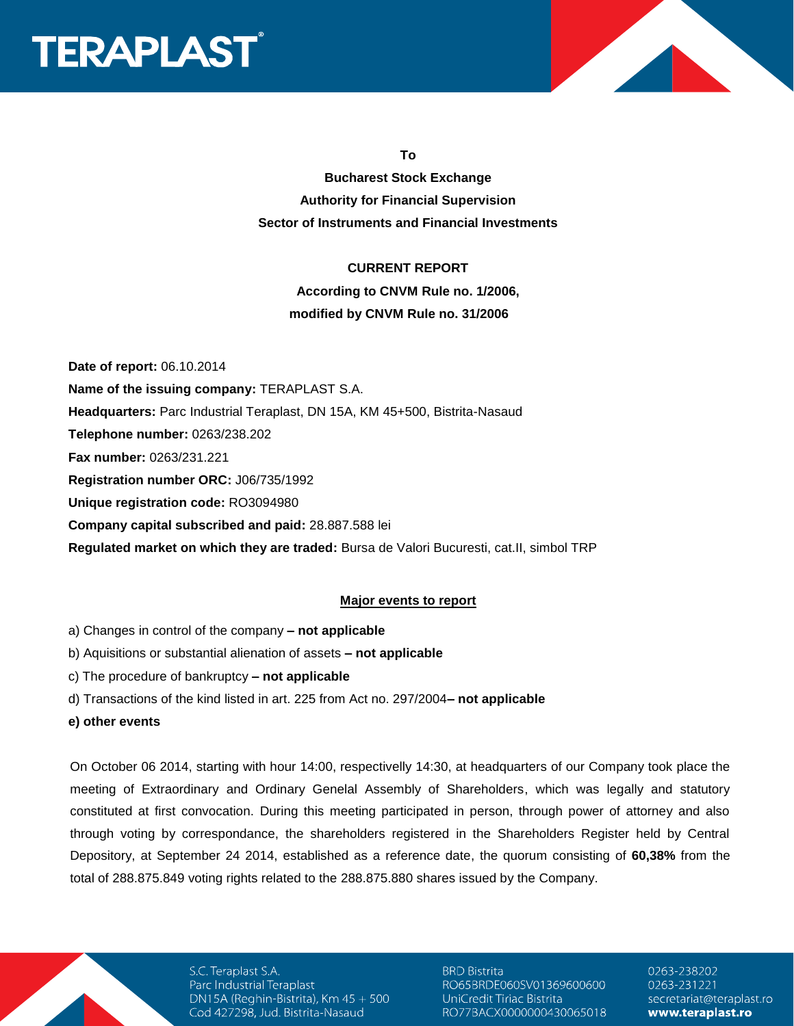



**To**

**Bucharest Stock Exchange Authority for Financial Supervision Sector of Instruments and Financial Investments**

#### **CURRENT REPORT**

**According to CNVM Rule no. 1/2006, modified by CNVM Rule no. 31/2006**

**Date of report:** 06.10.2014 **Name of the issuing company:** TERAPLAST S.A. **Headquarters:** Parc Industrial Teraplast, DN 15A, KM 45+500, Bistrita-Nasaud **Telephone number:** 0263/238.202 **Fax number:** 0263/231.221 **Registration number ORC:** J06/735/1992 **Unique registration code:** RO3094980 **Company capital subscribed and paid:** 28.887.588 lei **Regulated market on which they are traded:** Bursa de Valori Bucuresti, cat.II, simbol TRP

# **Major events to report**

- a) Changes in control of the company **– not applicable**
- b) Aquisitions or substantial alienation of assets **– not applicable**
- c) The procedure of bankruptcy **– not applicable**
- d) Transactions of the kind listed in art. 225 from Act no. 297/2004**– not applicable**
- **e) other events**

On October 06 2014, starting with hour 14:00, respectivelly 14:30, at headquarters of our Company took place the meeting of Extraordinary and Ordinary Genelal Assembly of Shareholders, which was legally and statutory constituted at first convocation. During this meeting participated in person, through power of attorney and also through voting by correspondance, the shareholders registered in the Shareholders Register held by Central Depository, at September 24 2014, established as a reference date, the quorum consisting of **60,38%** from the total of 288.875.849 voting rights related to the 288.875.880 shares issued by the Company.

S.C. Teraplast S.A. Parc Industrial Teraplast DN15A (Reghin-Bistrita), Km 45 + 500 Cod 427298, Jud. Bistrita-Nasaud

**BRD Bistrita** RO65BRDE060SV01369600600 UniCredit Tiriac Bistrita RO77BACX0000000430065018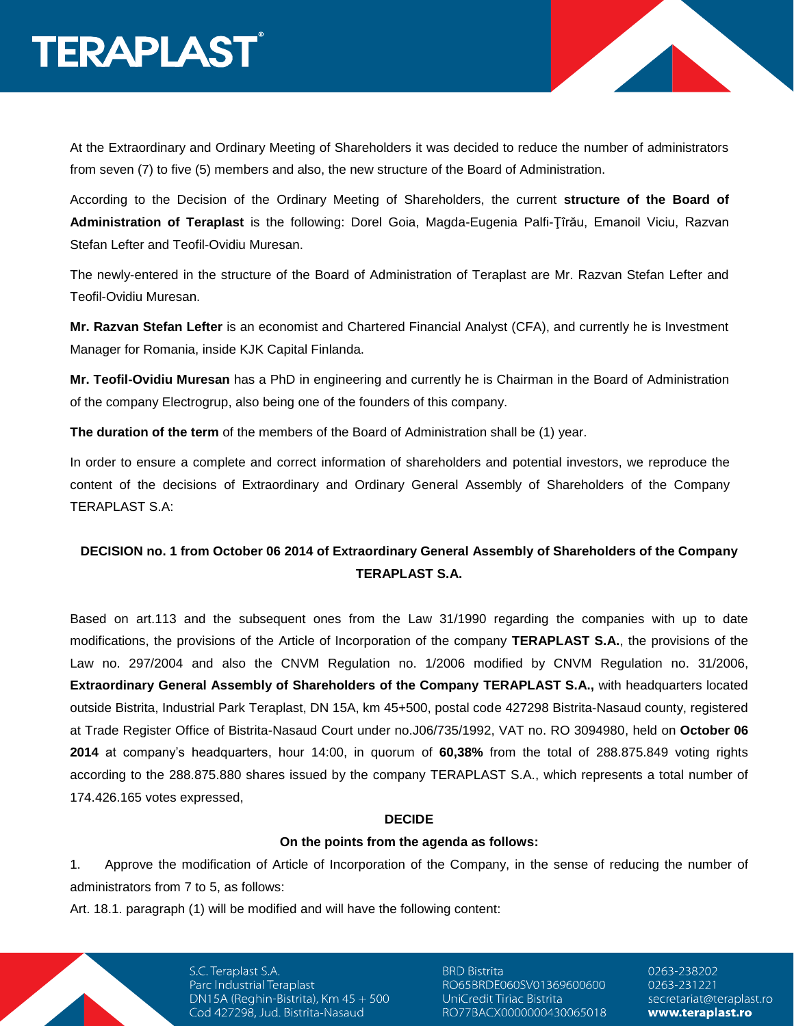At the Extraordinary and Ordinary Meeting of Shareholders it was decided to reduce the number of administrators from seven (7) to five (5) members and also, the new structure of the Board of Administration.

According to the Decision of the Ordinary Meeting of Shareholders, the current **structure of the Board of Administration of Teraplast** is the following: Dorel Goia, Magda-Eugenia Palfi-Ţîrău, Emanoil Viciu, Razvan Stefan Lefter and Teofil-Ovidiu Muresan.

The newly-entered in the structure of the Board of Administration of Teraplast are Mr. Razvan Stefan Lefter and Teofil-Ovidiu Muresan.

**Mr. Razvan Stefan Lefter** is an economist and Chartered Financial Analyst (CFA), and currently he is Investment Manager for Romania, inside KJK Capital Finlanda.

**Mr. Teofil-Ovidiu Muresan** has a PhD in engineering and currently he is Chairman in the Board of Administration of the company Electrogrup, also being one of the founders of this company.

**The duration of the term** of the members of the Board of Administration shall be (1) year.

In order to ensure a complete and correct information of shareholders and potential investors, we reproduce the content of the decisions of Extraordinary and Ordinary General Assembly of Shareholders of the Company TERAPLAST S.A:

# **DECISION no. 1 from October 06 2014 of Extraordinary General Assembly of Shareholders of the Company TERAPLAST S.A.**

Based on art.113 and the subsequent ones from the Law 31/1990 regarding the companies with up to date modifications, the provisions of the Article of Incorporation of the company **TERAPLAST S.A.**, the provisions of the Law no. 297/2004 and also the CNVM Regulation no. 1/2006 modified by CNVM Regulation no. 31/2006, **Extraordinary General Assembly of Shareholders of the Company TERAPLAST S.A.,** with headquarters located outside Bistrita, Industrial Park Teraplast, DN 15A, km 45+500, postal code 427298 Bistrita-Nasaud county, registered at Trade Register Office of Bistrita-Nasaud Court under no.J06/735/1992, VAT no. RO 3094980, held on **October 06 2014** at company's headquarters, hour 14:00, in quorum of **60,38%** from the total of 288.875.849 voting rights according to the 288.875.880 shares issued by the company TERAPLAST S.A., which represents a total number of 174.426.165 votes expressed,

# **DECIDE**

#### **On the points from the agenda as follows:**

1. Approve the modification of Article of Incorporation of the Company, in the sense of reducing the number of administrators from 7 to 5, as follows:

Art. 18.1. paragraph (1) will be modified and will have the following content:

S.C. Teraplast S.A. Parc Industrial Teraplast DN15A (Reghin-Bistrita), Km  $45 + 500$ Cod 427298, Jud. Bistrita-Nasaud

**BRD Bistrita** RO65BRDE060SV01369600600 UniCredit Tiriac Bistrita RO77BACX0000000430065018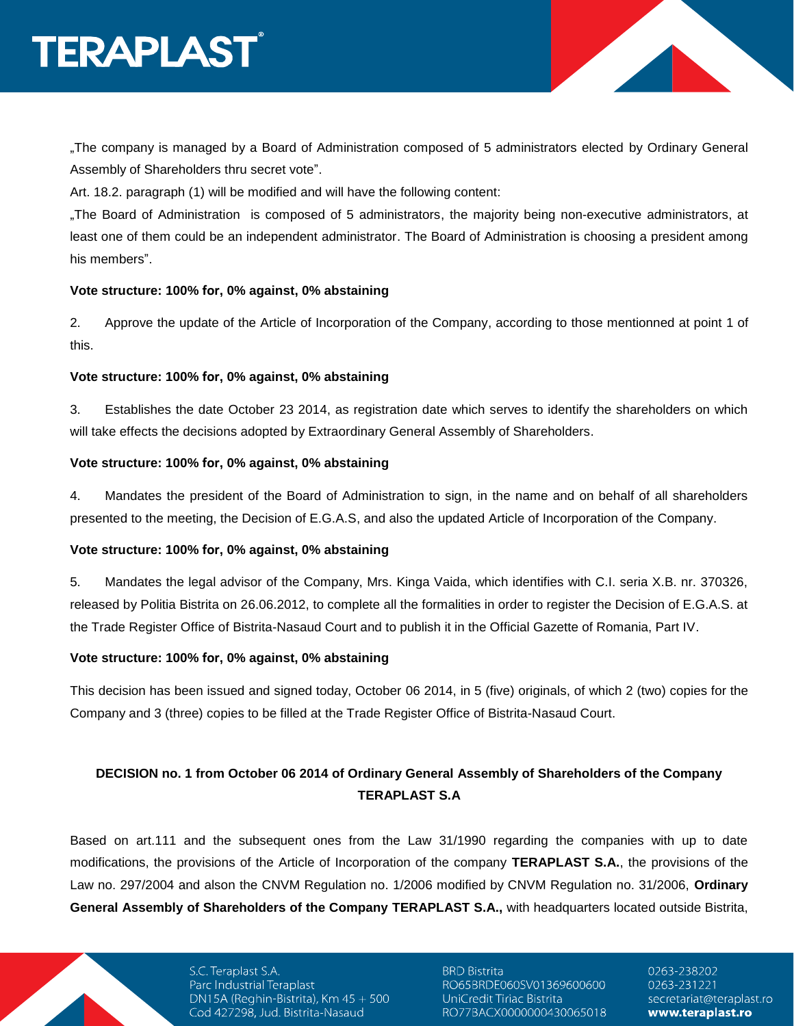# **TERAPLAST**

"The company is managed by a Board of Administration composed of 5 administrators elected by Ordinary General Assembly of Shareholders thru secret vote".

Art. 18.2. paragraph (1) will be modified and will have the following content:

"The Board of Administration is composed of 5 administrators, the majority being non-executive administrators, at least one of them could be an independent administrator. The Board of Administration is choosing a president among his members".

# **Vote structure: 100% for, 0% against, 0% abstaining**

2. Approve the update of the Article of Incorporation of the Company, according to those mentionned at point 1 of this.

# **Vote structure: 100% for, 0% against, 0% abstaining**

3. Establishes the date October 23 2014, as registration date which serves to identify the shareholders on which will take effects the decisions adopted by Extraordinary General Assembly of Shareholders.

# **Vote structure: 100% for, 0% against, 0% abstaining**

4. Mandates the president of the Board of Administration to sign, in the name and on behalf of all shareholders presented to the meeting, the Decision of E.G.A.S, and also the updated Article of Incorporation of the Company.

# **Vote structure: 100% for, 0% against, 0% abstaining**

5. Mandates the legal advisor of the Company, Mrs. Kinga Vaida, which identifies with C.I. seria X.B. nr. 370326, released by Politia Bistrita on 26.06.2012, to complete all the formalities in order to register the Decision of E.G.A.S. at the Trade Register Office of Bistrita-Nasaud Court and to publish it in the Official Gazette of Romania, Part IV.

# **Vote structure: 100% for, 0% against, 0% abstaining**

This decision has been issued and signed today, October 06 2014, in 5 (five) originals, of which 2 (two) copies for the Company and 3 (three) copies to be filled at the Trade Register Office of Bistrita-Nasaud Court.

# **DECISION no. 1 from October 06 2014 of Ordinary General Assembly of Shareholders of the Company TERAPLAST S.A**

Based on art.111 and the subsequent ones from the Law 31/1990 regarding the companies with up to date modifications, the provisions of the Article of Incorporation of the company **TERAPLAST S.A.**, the provisions of the Law no. 297/2004 and alson the CNVM Regulation no. 1/2006 modified by CNVM Regulation no. 31/2006, **Ordinary General Assembly of Shareholders of the Company TERAPLAST S.A.,** with headquarters located outside Bistrita,

> S.C. Teraplast S.A. Parc Industrial Teraplast DN15A (Reghin-Bistrita), Km  $45 + 500$ Cod 427298, Jud. Bistrita-Nasaud

**BRD Bistrita** RO65BRDE060SV01369600600 UniCredit Tiriac Bistrita RO77BACX0000000430065018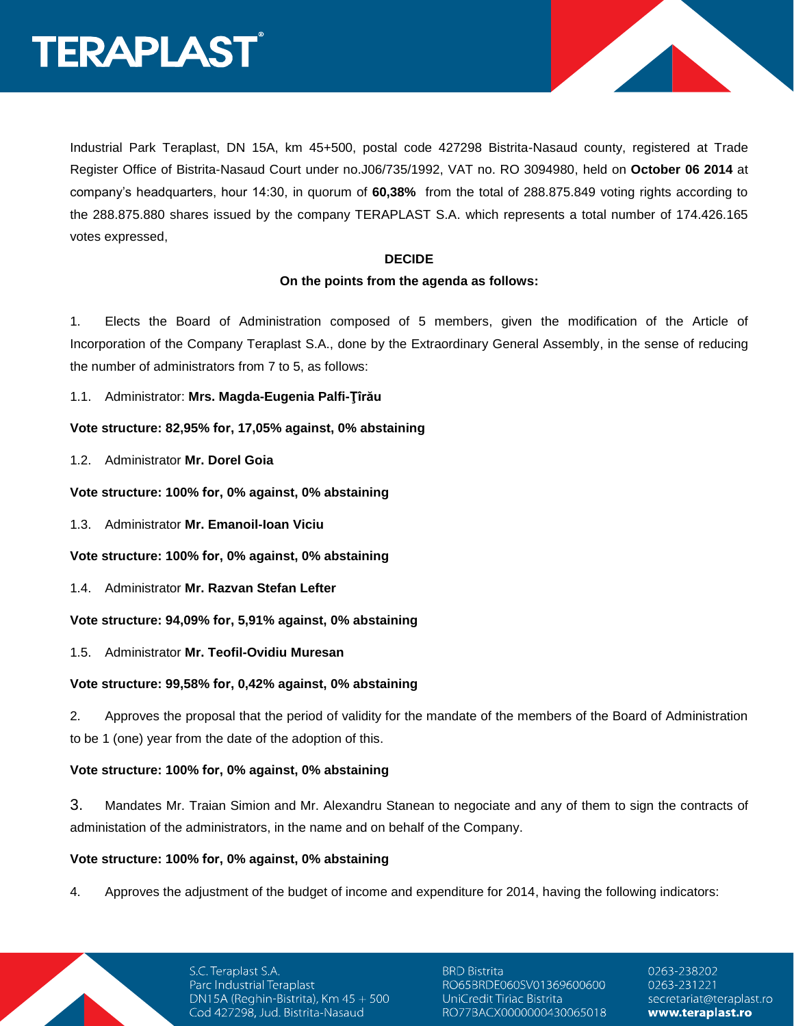

Industrial Park Teraplast, DN 15A, km 45+500, postal code 427298 Bistrita-Nasaud county, registered at Trade Register Office of Bistrita-Nasaud Court under no.J06/735/1992, VAT no. RO 3094980, held on **October 06 2014** at company's headquarters, hour 14:30, in quorum of **60,38%** from the total of 288.875.849 voting rights according to the 288.875.880 shares issued by the company TERAPLAST S.A. which represents a total number of 174.426.165 votes expressed,

#### **DECIDE**

# **On the points from the agenda as follows:**

1. Elects the Board of Administration composed of 5 members, given the modification of the Article of Incorporation of the Company Teraplast S.A., done by the Extraordinary General Assembly, in the sense of reducing the number of administrators from 7 to 5, as follows:

1.1. Administrator: **Mrs. Magda-Eugenia Palfi-Ţîrău**

**Vote structure: 82,95% for, 17,05% against, 0% abstaining**

1.2. Administrator **Mr. Dorel Goia**

**Vote structure: 100% for, 0% against, 0% abstaining**

1.3. Administrator **Mr. Emanoil-Ioan Viciu**

**Vote structure: 100% for, 0% against, 0% abstaining**

1.4. Administrator **Mr. Razvan Stefan Lefter**

**Vote structure: 94,09% for, 5,91% against, 0% abstaining**

1.5. Administrator **Mr. Teofil-Ovidiu Muresan**

# **Vote structure: 99,58% for, 0,42% against, 0% abstaining**

2. Approves the proposal that the period of validity for the mandate of the members of the Board of Administration to be 1 (one) year from the date of the adoption of this.

# **Vote structure: 100% for, 0% against, 0% abstaining**

3. Mandates Mr. Traian Simion and Mr. Alexandru Stanean to negociate and any of them to sign the contracts of administation of the administrators, in the name and on behalf of the Company.

# **Vote structure: 100% for, 0% against, 0% abstaining**

4. Approves the adjustment of the budget of income and expenditure for 2014, having the following indicators:

S.C. Teraplast S.A. Parc Industrial Teraplast DN15A (Reghin-Bistrita), Km 45 + 500 Cod 427298, Jud. Bistrita-Nasaud

**BRD Bistrita** RO65BRDE060SV01369600600 UniCredit Tiriac Bistrita RO77BACX0000000430065018